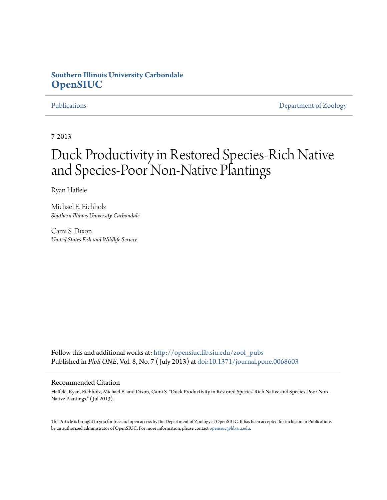## **Southern Illinois University Carbondale [OpenSIUC](http://opensiuc.lib.siu.edu?utm_source=opensiuc.lib.siu.edu%2Fzool_pubs%2F61&utm_medium=PDF&utm_campaign=PDFCoverPages)**

[Publications](http://opensiuc.lib.siu.edu/zool_pubs?utm_source=opensiuc.lib.siu.edu%2Fzool_pubs%2F61&utm_medium=PDF&utm_campaign=PDFCoverPages) **[Department of Zoology](http://opensiuc.lib.siu.edu/zool?utm_source=opensiuc.lib.siu.edu%2Fzool_pubs%2F61&utm_medium=PDF&utm_campaign=PDFCoverPages)** 

7-2013

# Duck Productivity in Restored Species-Rich Native and Species-Poor Non-Native Plantings

Ryan Haffele

Michael E. Eichholz *Southern Illinois University Carbondale*

Cami S. Dixon *United States Fish and Wildlife Service*

Follow this and additional works at: [http://opensiuc.lib.siu.edu/zool\\_pubs](http://opensiuc.lib.siu.edu/zool_pubs?utm_source=opensiuc.lib.siu.edu%2Fzool_pubs%2F61&utm_medium=PDF&utm_campaign=PDFCoverPages) Published in *PloS ONE*, Vol. 8, No. 7 ( July 2013) at [doi:10.1371/journal.pone.0068603](http://dx.doi.org/10.1371/journal.pone.0068603)

#### Recommended Citation

Haffele, Ryan, Eichholz, Michael E. and Dixon, Cami S. "Duck Productivity in Restored Species-Rich Native and Species-Poor Non-Native Plantings." ( Jul 2013).

This Article is brought to you for free and open access by the Department of Zoology at OpenSIUC. It has been accepted for inclusion in Publications by an authorized administrator of OpenSIUC. For more information, please contact [opensiuc@lib.siu.edu.](mailto:opensiuc@lib.siu.edu)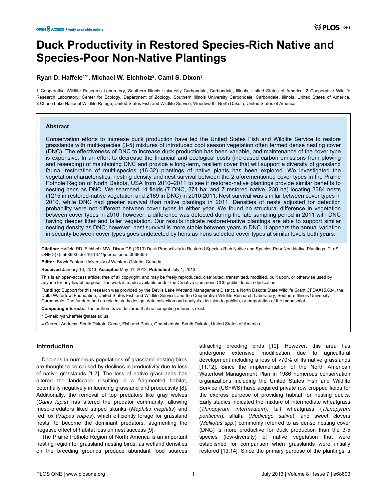# **Duck Productivity in Restored Species-Rich Native and Species-Poor Non-Native Plantings**

### **Ryan D. Haffele1\*¤, Michael W. Eichholz2 , Cami S. Dixon3**

**1** Cooperative Wildlife Research Laboratory, Southern Illinois University Carbondale, Carbondale, Illinois, United States of America, **2** Cooperative Wildlife Research Laboratory, Center for Ecology, Department of Zoology, Southern Illinois University Carbondale, Carbondale, Illinois, United States of America, **3** Chase Lake National Wildlife Refuge, United States Fish and Wildlife Service, Woodworth, North Dakota, United States of America

#### **Abstract**

Conservation efforts to increase duck production have led the United States Fish and Wildlife Service to restore grasslands with multi-species (3-5) mixtures of introduced cool season vegetation often termed dense nesting cover (DNC). The effectiveness of DNC to increase duck production has been variable, and maintenance of the cover type is expensive. In an effort to decrease the financial and ecological costs (increased carbon emissions from plowing and reseeding) of maintaining DNC and provide a long-term, resilient cover that will support a diversity of grassland fauna, restoration of multi-species (16-32) plantings of native plants has been explored. We investigated the vegetation characteristics, nesting density and nest survival between the 2 aforementioned cover types in the Prairie Pothole Region of North Dakota, USA from 2010–2011 to see if restored-native plantings provide similar benefits to nesting hens as DNC. We searched 14 fields (7 DNC, 271 ha; and 7 restored native, 230 ha) locating 3384 nests (1215 in restored-native vegetation and 2169 in DNC) in 2010-2011. Nest survival was similar between cover types in 2010, while DNC had greater survival than native plantings in 2011. Densities of nests adjusted for detection probability were not different between cover types in either year. We found no structural difference in vegetation between cover types in 2010; however, a difference was detected during the late sampling period in 2011 with DNC having deeper litter and taller vegetation. Our results indicate restored-native plantings are able to support similar nesting density as DNC; however, nest survival is more stable between years in DNC. It appears the annual variation in security between cover types goes undetected by hens as hens selected cover types at similar levels both years.

**Citation:** Haffele RD, Eichholz MW, Dixon CS (2013) Duck Productivity in Restored Species-Rich Native and Species-Poor Non-Native Plantings. PLoS ONE 8(7): e68603. doi:10.1371/journal.pone.0068603

**Editor:** Brock Fenton, University of Western Ontario, Canada

**Received** January 16, 2013; **Accepted** May 31, 2013; **Published** July 1, 2013

This is an open-access article, free of all copyright, and may be freely reproduced, distributed, transmitted, modified, built upon, or otherwise used by anyone for any lawful purpose. The work is made available under the Creative Commons CC0 public domain dedication.

**Funding:** Support for this research was provided by the Devils Lake Wetland Management District, a North Dakota State Wildlife Grant CFDA#15.634, the Delta Waterfowl Foundation, United States Fish and Wildlife Service, and the Cooperative Wildlife Research Laboratory, Southern Illinois University Carbondale. The funders had no role in study design, data collection and analysis, decision to publish, or preparation of the manuscript.

**Competing interests:** The authors have declared that no competing interests exist.

\* E-mail: ryan.haffele@state.sd.us

¤ Current Address: South Dakota Game, Fish and Parks, Chamberlain, South Dakota, United States of America

#### **Introduction**

Declines in numerous populations of grassland nesting birds are thought to be caused by declines in productivity due to loss of native grasslands [1-7]. The loss of native grasslands has altered the landscape resulting in a fragmented habitat, potentially negatively influencing grassland bird productivity [8]. Additionally, the removal of top predators like gray wolves (*Canis lupis*) has altered the predator community, allowing meso-predators liked striped skunks (*Mephitis mephitis*) and red fox (*Vulpes vulpes*), which efficiently forage for grassland nests, to become the dominant predators, augmenting the negative effect of habitat loss on nest success [9].

The Prairie Pothole Region of North America is an important nesting region for grassland nesting birds, as wetland densities on the breeding grounds produce abundant food sources

attracting breeding birds [10]. However, this area has undergone extensive modification due to agricultural development including a loss of >70% of its native grasslands [11,12]. Since the implementation of the North American Waterfowl Management Plan in 1986 numerous conservation organizations including the United States Fish and Wildlife Service (USFWS) have acquired private row cropped fields for the express purpose of providing habitat for nesting ducks. Early studies indicated the mixture of intermediate wheatgrass (*Thinopyrum intermedium*), tall wheatgrass (*Thinopyrum ponticum*), alfalfa (*Medicago sativa*), and sweet clovers (*Melilotus spp.*) commonly referred to as dense nesting cover (DNC) is more productive for duck production than the 3-5 species (low-diversity) of native vegetation that were established for comparison when grasslands were initially restored [13,14]. Since the primary purpose of the plantings is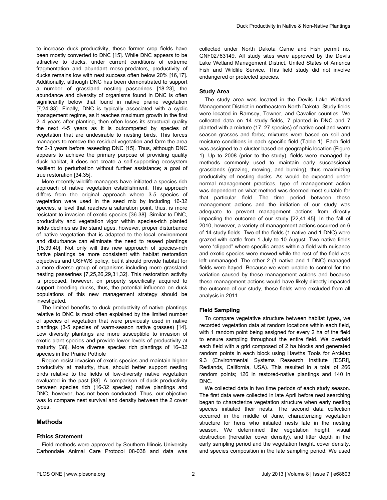to increase duck productivity, these former crop fields have been mostly converted to DNC [15]. While DNC appears to be attractive to ducks, under current conditions of extreme fragmentation and abundant meso-predators, productivity of ducks remains low with nest success often below 20% [16,17]. Additionally, although DNC has been demonstrated to support a number of grassland nesting passerines [18-23], the abundance and diversity of organisms found in DNC is often significantly below that found in native prairie vegetation [7,24-33]. Finally, DNC is typically associated with a cyclic management regime, as it reaches maximum growth in the first 2–4 years after planting, then often loses its structural quality the next 4-5 years as it is outcompeted by species of vegetation that are undesirable to nesting birds. This forces managers to remove the residual vegetation and farm the area for 2-3 years before reseeding DNC [15]. Thus, although DNC appears to achieve the primary purpose of providing quality duck habitat, it does not create a self-supporting ecosystem resilient to perturbation without further assistance; a goal of true restoration [34,35].

More recently wildlife managers have initiated a species-rich approach of native vegetation establishment. This approach differs from the original approach where 3-5 species of vegetation were used in the seed mix by including 16-32 species, a level that reaches a saturation point, thus, is more resistant to invasion of exotic species [36-38]. Similar to DNC, productivity and vegetation vigor within species-rich planted fields declines as the stand ages, however, proper disturbance of native vegetation that is adapted to the local environment and disturbance can eliminate the need to reseed plantings [15,39,40]. Not only will this new approach of species-rich native plantings be more consistent with habitat restoration objectives and USFWS policy, but it should provide habitat for a more diverse group of organisms including more grassland nesting passerines [7,25,26,29,31,32]. This restoration activity is proposed, however, on property specifically acquired to support breeding ducks, thus, the potential influence on duck populations of this new management strategy should be investigated.

The limited benefits to duck productivity of native plantings relative to DNC is most often explained by the limited number of species of vegetation that were previously used in native plantings (3-5 species of warm-season native grasses) [14]. Low diversity plantings are more susceptible to invasion of exotic plant species and provide lower levels of productivity at maturity [38]. More diverse species rich plantings of 16–32 species in the Prairie Pothole

Region resist invasion of exotic species and maintain higher productivity at maturity, thus, should better support nesting birds relative to the fields of low-diversity native vegetation evaluated in the past [38]. A comparison of duck productivity between species rich (16-32 species) native plantings and DNC, however, has not been conducted. Thus, our objective was to compare nest survival and density between the 2 cover types.

#### **Methods**

#### **Ethics Statement**

endangered or protected species.

#### **Study Area**

The study area was located in the Devils Lake Wetland Management District in northeastern North Dakota. Study fields were located in Ramsey, Towner, and Cavalier counties. We collected data on 14 study fields, 7 planted in DNC and 7 planted with a mixture (17–27 species) of native cool and warm season grasses and forbs; mixtures were based on soil and moisture conditions in each specific field (Table 1). Each field was assigned to a cluster based on geographic location (Figure 1). Up to 2008 (prior to the study), fields were managed by methods commonly used to maintain early successional grasslands (grazing, mowing, and burning), thus maximizing productivity of nesting ducks. As would be expected under normal management practices, type of management action was dependent on what method was deemed most suitable for that particular field. The time period between these management actions and the initiation of our study was adequate to prevent management actions from directly impacting the outcome of our study [22,41-45]. In the fall of 2010, however, a variety of management actions occurred on 6 of 14 study fields. Two of the fields (1 native and 1 DNC) were grazed with cattle from 1 July to 10 August. Two native fields were "clipped" where specific areas within a field with nuisance and exotic species were mowed while the rest of the field was left unmanaged. The other 2 (1 native and 1 DNC) managed fields were hayed. Because we were unable to control for the variation caused by these management actions and because these management actions would have likely directly impacted the outcome of our study, these fields were excluded from all analysis in 2011.

#### **Field Sampling**

To compare vegetative structure between habitat types, we recorded vegetation data at random locations within each field, with 1 random point being assigned for every 2 ha of the field to ensure sampling throughout the entire field. We overlaid each field with a grid composed of 2 ha blocks and generated random points in each block using Hawths Tools for ArcMap 9.3 (Environmental Systems Research Institute [ESRI], Redlands, California, USA). This resulted in a total of 266 random points; 126 in restored-native plantings and 140 in DNC.

We collected data in two time periods of each study season. The first data were collected in late April before nest searching began to characterize vegetation structure when early nesting species initiated their nests. The second data collection occurred in the middle of June, characterizing vegetation structure for hens who initiated nests late in the nesting season. We determined the vegetation height, visual obstruction (hereafter cover density), and litter depth in the early sampling period and the vegetation height, cover density, and species composition in the late sampling period. We used

collected under North Dakota Game and Fish permit no. GNF02763149. All study sites were approved by the Devils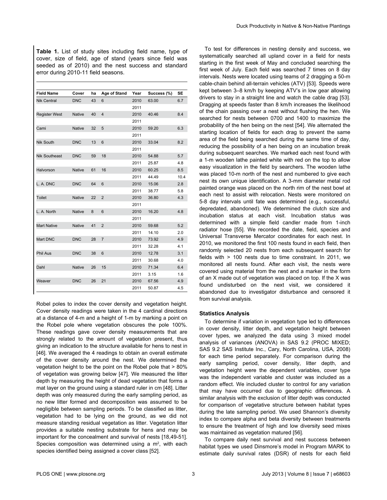| <b>Table 1.</b> List of study sites including field name, type of |
|-------------------------------------------------------------------|
| cover, size of field, age of stand (years since field was         |
| seeded as of 2010) and the nest success and standard              |
| error during 2010-11 field seasons.                               |

| <b>Field Name</b>    | Cover         | ha | Age of Stand   | Year | Success (%) | <b>SE</b> |
|----------------------|---------------|----|----------------|------|-------------|-----------|
| <b>Nik Central</b>   | <b>DNC</b>    | 43 | 6              | 2010 | 63.00       | 6.7       |
|                      |               |    |                | 2011 |             |           |
| <b>Register West</b> | <b>Native</b> | 40 | $\overline{4}$ | 2010 | 40.46       | 8.4       |
|                      |               |    |                | 2011 |             |           |
| Cami                 | <b>Native</b> | 32 | 5              | 2010 | 59.20       | 6.3       |
|                      |               |    |                | 2011 |             |           |
| Nik South            | <b>DNC</b>    | 13 | 6              | 2010 | 33.04       | 8.2       |
|                      |               |    |                | 2011 |             |           |
| <b>Nik Southeast</b> | <b>DNC</b>    | 59 | 18             | 2010 | 54.88       | 5.7       |
|                      |               |    |                | 2011 | 25.87       | 4.8       |
| Halvorson            | <b>Native</b> | 61 | 16             | 2010 | 60.25       | 8.5       |
|                      |               |    |                | 2011 | 44.49       | 10.4      |
| L. A. DNC            | <b>DNC</b>    | 64 | 6              | 2010 | 15.06       | 2.8       |
|                      |               |    |                | 2011 | 38.77       | 5.8       |
| Toilet               | <b>Native</b> | 22 | $\overline{2}$ | 2010 | 36.80       | 4.3       |
|                      |               |    |                | 2011 |             |           |
| L. A. North          | <b>Native</b> | 8  | 6              | 2010 | 16.20       | 4.8       |
|                      |               |    |                | 2011 |             |           |
| <b>Mart Native</b>   | <b>Native</b> | 41 | $\overline{2}$ | 2010 | 59.68       | 5.2       |
|                      |               |    |                | 2011 | 14.10       | 2.0       |
| Mart DNC             | <b>DNC</b>    | 28 | $\overline{7}$ | 2010 | 73.92       | 4.9       |
|                      |               |    |                | 2011 | 32.28       | 4.1       |
| <b>Phil Aus</b>      | <b>DNC</b>    | 38 | 6              | 2010 | 12.78       | 3.1       |
|                      |               |    |                | 2011 | 30.68       | 4.0       |
| Dahl                 | <b>Native</b> | 26 | 15             | 2010 | 71.34       | 6.4       |
|                      |               |    |                | 2011 | 3.15        | 1.6       |
| Weaver               | <b>DNC</b>    | 26 | 21             | 2010 | 67.56       | 4.9       |
|                      |               |    |                | 2011 | 50.87       | 4.5       |

Robel poles to index the cover density and vegetation height. Cover density readings were taken in the 4 cardinal directions at a distance of 4-m and a height of 1-m by marking a point on the Robel pole where vegetation obscures the pole 100%. These readings gave cover density measurements that are strongly related to the amount of vegetation present, thus giving an indication to the structure available for hens to nest in [46]. We averaged the 4 readings to obtain an overall estimate of the cover density around the nest. We determined the vegetation height to be the point on the Robel pole that > 80% of vegetation was growing below [47]. We measured the litter depth by measuring the height of dead vegetation that forms a mat layer on the ground using a standard ruler in cm [48]. Litter depth was only measured during the early sampling period, as no new litter formed and decomposition was assumed to be negligible between sampling periods. To be classified as litter, vegetation had to be lying on the ground, as we did not measure standing residual vegetation as litter. Vegetation litter provides a suitable nesting substrate for hens and may be important for the concealment and survival of nests [18,49-51]. Species composition was determined using a  $m<sup>2</sup>$ , with each species identified being assigned a cover class [52].

To test for differences in nesting density and success, we systematically searched all upland cover in a field for nests starting in the first week of May and concluded searching the first week of July. Each field was searched 7 times on 8 day intervals. Nests were located using teams of 2 dragging a 50-m cable-chain behind all-terrain vehicles (ATV) [53]. Speeds were kept between 3–8 km/h by keeping ATV's in low gear allowing drivers to stay in a straight line and watch the cable drag [53]. Dragging at speeds faster than 8 km/h increases the likelihood of the chain passing over a nest without flushing the hen. We searched for nests between 0700 and 1400 to maximize the probability of the hen being on the nest [54]. We alternated the starting location of fields for each drag to prevent the same area of the field being searched during the same time of day, reducing the possibility of a hen being on an incubation break during subsequent searches. We marked each nest found with a 1-m wooden lathe painted white with red on the top to allow easy visualization in the field by searchers. The wooden lathe was placed 10-m north of the nest and numbered to give each nest its own unique identification. A 3-mm diameter metal rod painted orange was placed on the north rim of the nest bowl at each nest to assist with relocation. Nests were monitored on 5-8 day intervals until fate was determined (e.g., successful, depredated, abandoned). We determined the clutch size and incubation status at each visit. Incubation status was determined with a simple field candler made from 1-inch radiator hose [55]. We recorded the date, field, species and Universal Transverse Mercator coordinates for each nest. In 2010, we monitored the first 100 nests found in each field, then randomly selected 20 nests from each subsequent search for fields with > 100 nests due to time constraint. In 2011, we monitored all nests found. After each visit, the nests were covered using material from the nest and a marker in the form of an X made out of vegetation was placed on top. If the X was found undisturbed on the next visit, we considered it abandoned due to investigator disturbance and censored it from survival analysis.

#### **Statistics Analysis**

To determine if variation in vegetation type led to differences in cover density, litter depth, and vegetation height between cover types, we analyzed the data using 3 mixed model analysis of variances (ANOVA) in SAS 9.2 (PROC MIXED; SAS 9.2 SAS Institute Inc., Cary, North Carolina, USA, 2008) for each time period separately. For comparison during the early sampling period, cover density, litter depth, and vegetation height were the dependent variables, cover type was the independent variable and cluster was included as a random effect. We included cluster to control for any variation that may have occurred due to geographic differences. A similar analysis with the exclusion of litter depth was conducted for comparison of vegetative structure between habitat types during the late sampling period. We used Shannon's diversity index to compare alpha and beta diversity between treatments to ensure the treatment of high and low diversity seed mixes was maintained as vegetation matured [56].

To compare daily nest survival and nest success between habitat types we used Dinsmore's model in Program MARK to estimate daily survival rates (DSR) of nests for each field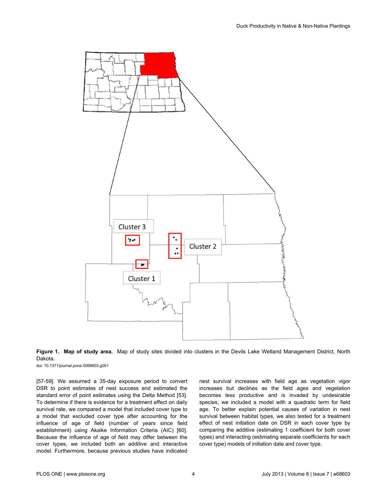



doi: 10.1371/journal.pone.0068603.g001

[57-59]. We assumed a 35-day exposure period to convert DSR to point estimates of nest success and estimated the standard error of point estimates using the Delta Method [53]. To determine if there is evidence for a treatment effect on daily survival rate, we compared a model that included cover type to a model that excluded cover type after accounting for the influence of age of field (number of years since field establishment) using Akaike Information Criteria (AIC) [60]. Because the influence of age of field may differ between the cover types, we included both an additive and interactive model. Furthermore, because previous studies have indicated

nest survival increases with field age as vegetation vigor increases but declines as the field ages and vegetation becomes less productive and is invaded by undesirable species, we included a model with a quadratic term for field age. To better explain potential causes of variation in nest survival between habitat types, we also tested for a treatment effect of nest initiation date on DSR in each cover type by comparing the additive (estimating 1 coefficient for both cover types) and interacting (estimating separate coefficients for each cover type) models of initiation date and cover type.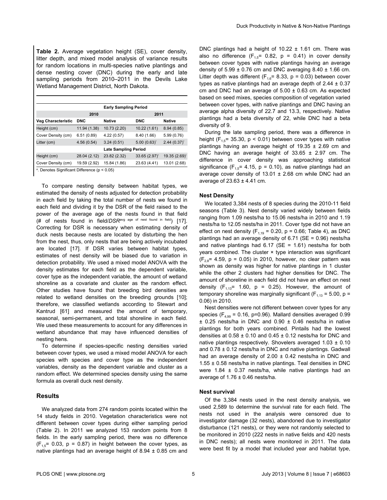**Table 2.** Average vegetation height (SE), cover density, litter depth, and mixed model analysis of variance results for random locations in multi-species native plantings and dense nesting cover (DNC) during the early and late sampling periods from 2010–2011 in the Devils Lake Wetland Management District, North Dakota.

|                                                    |              | <b>Early Sampling Period</b> |                   |                  |
|----------------------------------------------------|--------------|------------------------------|-------------------|------------------|
|                                                    | 2010         |                              | 2011              |                  |
| <b>Veg Characteristic</b>                          | <b>DNC</b>   | <b>Native</b>                | <b>DNC</b>        | <b>Native</b>    |
| Height (cm)                                        | 11.94 (1.38) | 10.73 (2.20)                 | 10.22 (1.61)      | 8.94(0.85)       |
| Cover Density (cm)                                 | 6.51(0.89)   | 4.22(0.57)                   | 8.40 (1.66)       | 5.99 (0.76)      |
| Litter (cm)                                        | 4.56(0.54)   | 3.24(0.51)                   | $5.00(0.63)^{*}$  | $2.44(0.37)^{6}$ |
|                                                    |              | <b>Late Sampling Period</b>  |                   |                  |
| Height (cm)                                        | 28.04 (2.12) | 23.82 (2.32)                 | $33.65(2.97)^{*}$ | 19.35 (2.69)*    |
| Cover Density (cm)                                 | 19.59 (2.92) | 15.84 (1.86)                 | 23.63 (4.41)      | 13.01 (2.68)     |
| $3$ Depates Cianificant Difference $(n \geq 0.05)$ |              |                              |                   |                  |

<sup>a</sup>. Denotes Significant Difference (p < 0.05)

To compare nesting density between habitat types, we estimated the density of nests adjusted for detection probability in each field by taking the total number of nests we found in each field and dividing it by the DSR of the field raised to the power of the average age of the nests found in that field (# of nests found in field/*DSR*avg age of nest found in field) [17]. Correcting for DSR is necessary when estimating density of duck nests because nests are located by disturbing the hen from the nest, thus, only nests that are being actively incubated are located [17]. If DSR varies between habitat types, estimates of nest density will be biased due to variation in detection probability. We used a mixed model ANOVA with the density estimates for each field as the dependent variable, cover type as the independent variable, the amount of wetland shoreline as a covariate and cluster as the random effect. Other studies have found that breeding bird densities are related to wetland densities on the breeding grounds [10]; therefore, we classified wetlands according to Stewart and Kantrud [61] and measured the amount of temporary, seasonal, semi-permanent, and total shoreline in each field. We used these measurements to account for any differences in wetland abundance that may have influenced densities of nesting hens.

To determine if species-specific nesting densities varied between cover types, we used a mixed model ANOVA for each species with species and cover type as the independent variables, density as the dependent variable and cluster as a random effect. We determined species density using the same formula as overall duck nest density.

#### **Results**

We analyzed data from 274 random points located within the 14 study fields in 2010. Vegetation characteristics were not different between cover types during either sampling period (Table 2). In 2011 we analyzed 153 random points from 8 fields. In the early sampling period, there was no difference  $(F<sub>1.5</sub>= 0.03, p = 0.87)$  in height between the cover types, as native plantings had an average height of  $8.94 \pm 0.85$  cm and

DNC plantings had a height of  $10.22 \pm 1.61$  cm. There was also no difference  $(F_{1,5} = 0.82, p = 0.41)$  in cover density between cover types with native plantings having an average density of  $5.99 \pm 0.76$  cm and DNC averaging  $8.40 \pm 1.66$  cm. Litter depth was different ( $F_{1,6}$ = 8.33, p = 0.03) between cover types as native plantings had an average depth of  $2.44 \pm 0.37$ cm and DNC had an average of  $5.00 \pm 0.63$  cm. As expected based on seed mixes, species composition of vegetation varied between cover types, with native plantings and DNC having an average alpha diversity of 22.7 and 13.3, respectively. Native plantings had a beta diversity of 22, while DNC had a beta diversity of 9.

During the late sampling period, there was a difference in height ( $F_{1,5}$ = 35.30, p < 0.01) between cover types with native plantings having an average height of  $19.35 \pm 2.69$  cm and DNC having an average height of  $33.65 \pm 2.97$  cm. The difference in cover density was approaching statistical significance ( $F_{1,5}$ = 4.15, p = 0.10), as native plantings had an average cover density of 13.01  $\pm$  2.68 cm while DNC had an average of  $23.63 \pm 4.41$  cm.

#### **Nest Density**

We located 3,384 nests of 8 species during the 2010-11 field seasons (Table 3). Nest density varied widely between fields ranging from 1.09 nests/ha to 15.06 nests/ha in 2010 and 1.19 nests/ha to 12.05 nests/ha in 2011. Cover type did not have an effect on nest density  $(F<sub>1,19</sub> = 0.20, p = 0.66, Table 4)$ , as DNC plantings had an average density of 6.71 (SE = 0.96) nests/ha and native plantings had  $6.17$  (SE = 1.61) nests/ha for both years combined. The cluster  $\times$  type interaction was significant  $(F_{2,8}= 4.59, p = 0.05)$  in 2010, however, no clear pattern was shown as density was higher for native plantings in 1 cluster while the other 2 clusters had higher densities for DNC. The amount of shoreline in each field did not have an effect on nest density  $(F_{1,13}= 1.60, p = 0.25)$ . However, the amount of temporary shoreline was marginally significant ( $F_{1,13}$  = 5.00, p = 0.06) in 2010.

Nest densities were not different between cover types for any species ( $F_{4,99}$  = 0.16, p=0.96). Mallard densities averaged 0.99 ± 0.25 nests/ha in DNC and 0.90 ± 0.46 nests/ha in native plantings for both years combined. Pintails had the lowest densities at  $0.58 \pm 0.10$  and  $0.45 \pm 0.12$  nests/ha for DNC and native plantings respectively. Shovelers averaged  $1.03 \pm 0.10$ and  $0.78 \pm 0.12$  nests/ha in DNC and native plantings. Gadwall had an average density of  $2.00 \pm 0.42$  nests/ha in DNC and  $1.55 \pm 0.58$  nests/ha in native plantings. Teal densities in DNC were  $1.84 \pm 0.37$  nests/ha, while native plantings had an average of  $1.76 \pm 0.46$  nests/ha.

#### **Nest survival**

Of the 3,384 nests used in the nest density analysis, we used 2,589 to determine the survival rate for each field. The nests not used in the analysis were censored due to investigator damage (32 nests), abandoned due to investigator disturbance (121 nests), or they were not randomly selected to be monitored in 2010 (222 nests in native fields and 420 nests in DNC nests); all nests were monitored in 2011. The data were best fit by a model that included year and habitat type,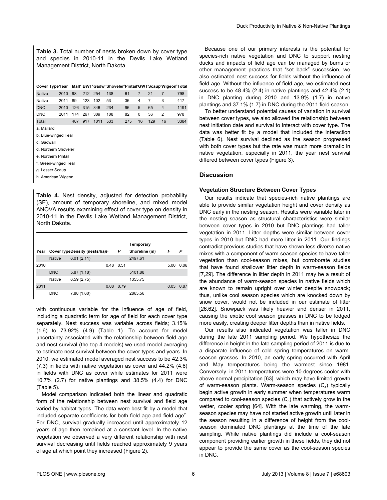**Table 3.** Total number of nests broken down by cover type and species in 2010-11 in the Devils Lake Wetland Management District, North Dakota.

| Cover Type Year Mall' BWT Gadw Shoveler Pintail GWT Scaup Wigeon Total |      |     |             |      |     |     |              |     |    |      |
|------------------------------------------------------------------------|------|-----|-------------|------|-----|-----|--------------|-----|----|------|
| <b>Native</b>                                                          | 2010 | 98  | 212 254     |      | 138 | 61  |              | 21  |    | 798  |
| Native                                                                 | 2011 | 89  | 123         | 102  | 53  | 36  | 4            |     | 3  | 417  |
| <b>DNC</b>                                                             | 2010 |     | 126 315 346 |      | 234 | 96  | 5            | 65  | 4  | 1191 |
| <b>DNC</b>                                                             | 2011 | 174 | 267         | 309  | 108 | 82  | <sup>0</sup> | 36  | 2  | 978  |
| Total                                                                  |      | 487 | 917         | 1011 | 533 | 275 | 16           | 129 | 16 | 3384 |

a. Mallard

b. Blue-winged Teal

c. Gadwall

d. Northern Shoveler

e. Northern Pintail

f. Green-winged Teal

g. Lesser Scaup

h. American Wigeon

**Table 4.** Nest density, adjusted for detection probability (SE), amount of temporary shoreline, and mixed model ANOVA results examining effect of cover type on density in 2010-11 in the Devils Lake Wetland Management District, North Dakota.

|      |               |                              |      |      | Temporary     |      |      |
|------|---------------|------------------------------|------|------|---------------|------|------|
| Year |               | CoverTypeDensity (nests/ha)F |      | Ρ    | Shoreline (m) | F    | P    |
|      | <b>Native</b> | 6.01(2.11)                   |      |      | 2497.61       |      |      |
| 2010 |               |                              | 0.48 | 0.51 |               | 5.00 | 0.06 |
|      | <b>DNC</b>    | 5.87(1.18)                   |      |      | 5101.88       |      |      |
|      | Native        | 6.59(2.75)                   |      |      | 1355.75       |      |      |
| 2011 |               |                              | 0.08 | 0.79 |               | 0.03 | 0.87 |
|      | <b>DNC</b>    | 7.88(1.60)                   |      |      | 2865.56       |      |      |

with continuous variable for the influence of age of field, including a quadratic term for age of field for each cover type separately. Nest success was variable across fields; 3.15% (1.6) to 73.92% (4.9) (Table 1). To account for model uncertainty associated with the relationship between field age and nest survival (the top 4 models) we used model averaging to estimate nest survival between the cover types and years. In 2010, we estimated model averaged nest success to be 42.3% (7.3) in fields with native vegetation as cover and 44.2% (4.6) in fields with DNC as cover while estimates for 2011 were 10.7% (2.7) for native plantings and 38.5% (4.4) for DNC (Table 5).

Model comparison indicated both the linear and quadratic form of the relationship between nest survival and field age varied by habitat types. The data were best fit by a model that included separate coefficients for both field age and field age<sup>2</sup>. For DNC, survival gradually increased until approximately 12 years of age then remained at a constant level. In the native vegetation we observed a very different relationship with nest survival decreasing until fields reached approximately 9 years of age at which point they increased (Figure 2).

Because one of our primary interests is the potential for species-rich native vegetation and DNC to support nesting ducks and impacts of field age can be managed by burns or other management practices that "set back" succession, we also estimated nest success for fields without the influence of field age. Without the influence of field age, we estimated nest success to be 48.4% (2.4) in native plantings and 42.4% (2.1) in DNC planting during 2010 and 13.9% (1.7) in native plantings and 37.1% (1.7) in DNC during the 2011 field season.

To better understand potential causes of variation in survival between cover types, we also allowed the relationship between nest initiation date and survival to interact with cover type. The data was better fit by a model that included the interaction (Table 6). Nest survival declined as the season progressed with both cover types but the rate was much more dramatic in native vegetation, especially in 2011, the year nest survival differed between cover types (Figure 3).

#### **Discussion**

#### **Vegetation Structure Between Cover Types**

Our results indicate that species-rich native plantings are able to provide similar vegetation height and cover density as DNC early in the nesting season. Results were variable later in the nesting season as structural characteristics were similar between cover types in 2010 but DNC plantings had taller vegetation in 2011. Litter depths were similar between cover types in 2010 but DNC had more litter in 2011. Our findings contradict previous studies that have shown less diverse native mixes with a component of warm-season species to have taller vegetation than cool-season mixes, but corroborate studies that have found shallower litter depth in warm-season fields [7,29]. The difference in litter depth in 2011 may be a result of the abundance of warm-season species in native fields which are known to remain upright over winter despite snowpack; thus, unlike cool season species which are knocked down by snow cover, would not be included in our estimate of litter [26,62]. Snowpack was likely heavier and denser in 2011, causing the exotic cool season grasses in DNC to be lodged more easily, creating deeper litter depths than in native fields.

Our results also indicated vegetation was taller in DNC during the late 2011 sampling period. We hypothesize the difference in height in the late sampling period of 2011 is due to a disparate influence of cold spring temperatures on warmseason grasses. In 2010, an early spring occurred with April and May temperatures being the warmest since 1981. Conversely, in 2011 temperatures were 10 degrees cooler with above normal precipitation [63], which may have limited growth of warm-season plants. Warm-season species  $(C_4)$  typically begin active growth in early summer when temperatures warm compared to cool-season species  $(C_3)$  that actively grow in the wetter, cooler spring [64]. With the late warming, the warmseason species may have not started active growth until later in the season resulting in a difference of height from the coolseason dominated DNC plantings at the time of the late sampling. While native plantings did include a cool-season component providing earlier growth in these fields, they did not appear to provide the same cover as the cool-season species in DNC.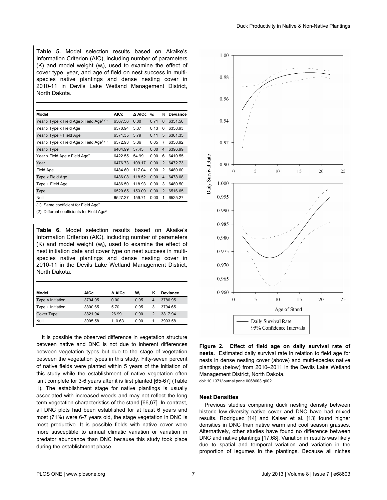**Table 5.** Model selection results based on Akaike's Information Criterion (AIC), including number of parameters  $(K)$  and model weight  $(w<sub>i</sub>)$ , used to examine the effect of cover type, year, and age of field on nest success in multispecies native plantings and dense nesting cover in 2010-11 in Devils Lake Wetland Management District, North Dakota.

| Model                                                | <b>AICc</b> | A AICc | W.   |                | K Deviance |
|------------------------------------------------------|-------------|--------|------|----------------|------------|
| Year x Type x Field Age x Field Age <sup>2 (2)</sup> | 6367.56     | 0.00   | 0.71 | 8              | 6351.56    |
| Year x Type x Field Age                              | 6370.94     | 3.37   | 0.13 | 6              | 6358.93    |
| Year x Type + Field Age                              | 6371.35     | 3.79   | 0.11 | 5              | 6361.35    |
| Year x Type x Field Age x Field Age <sup>2 (1)</sup> | 6372.93     | 5.36   | 0.05 | 7              | 6358.92    |
| Year x Type                                          | 6404.99     | 37.43  | 0.00 | $\overline{4}$ | 6396.99    |
| Year x Field Age x Field Age <sup>2</sup>            | 6422.55     | 54.99  | 0.00 | 6              | 6410.55    |
| Year                                                 | 6476.73     | 109.17 | 0.00 | 2              | 6472.73    |
| Field Age                                            | 6484.60     | 117.04 | 0.00 | 2              | 6480.60    |
| Type x Field Age                                     | 6486.08     | 118.52 | 0.00 | $\overline{4}$ | 6478.08    |
| Type + Field Age                                     | 6486.50     | 118.93 | 0.00 | 3              | 6480.50    |
| Type                                                 | 6520.65     | 153.09 | 0.00 | 2              | 6516.65    |
| Null                                                 | 6527.27     | 159.71 | 0.00 | 1              | 6525.27    |

(1). Same coefficient for Field Age<sup>2</sup>

(2). Different coefficients for Field Age<sup>2</sup>

**Table 6.** Model selection results based on Akaike's Information Criterion (AIC), including number of parameters  $(K)$  and model weight  $(w<sub>i</sub>)$ , used to examine the effect of nest initiation date and cover type on nest success in multispecies native plantings and dense nesting cover in 2010-11 in the Devils Lake Wetland Management District, North Dakota.

| Model             | <b>AICc</b> | A AICc | w.   | κ              | <b>Deviance</b> |
|-------------------|-------------|--------|------|----------------|-----------------|
| Type × Initiation | 3794.95     | 0.00   | 0.95 | $\overline{4}$ | 3786.95         |
| Type + Initiation | 3800.65     | 5.70   | 0.05 | 3              | 3794.65         |
| Cover Type        | 3821.94     | 26.99  | 0.00 | 2              | 381794          |
| Null              | 3905.58     | 110.63 | 0.00 | 1              | 3903.58         |

It is possible the observed difference in vegetation structure between native and DNC is not due to inherent differences between vegetation types but due to the stage of vegetation between the vegetation types in this study. Fifty-seven percent of native fields were planted within 5 years of the initiation of this study while the establishment of native vegetation often isn't complete for 3-6 years after it is first planted [65-67] (Table 1). The establishment stage for native plantings is usually associated with increased weeds and may not reflect the long term vegetation characteristics of the stand [66,67]. In contrast, all DNC plots had been established for at least 6 years and most (71%) were 6-7 years old, the stage vegetation in DNC is most productive. It is possible fields with native cover were more susceptible to annual climatic variation or variation in predator abundance than DNC because this study took place during the establishment phase.



**Figure 2. Effect of field age on daily survival rate of nests.** Estimated daily survival rate in relation to field age for nests in dense nesting cover (above) and multi-species native plantings (below) from 2010–2011 in the Devils Lake Wetland Management District, North Dakota.

doi: 10.1371/journal.pone.0068603.g002

#### **Nest Densities**

Previous studies comparing duck nesting density between historic low-diversity native cover and DNC have had mixed results. Rodriguez [14] and Kaiser et al. [13] found higher densities in DNC than native warm and cool season grasses. Alternatively, other studies have found no difference between DNC and native plantings [17,68]. Variation in results was likely due to spatial and temporal variation and variation in the proportion of legumes in the plantings. Because all niches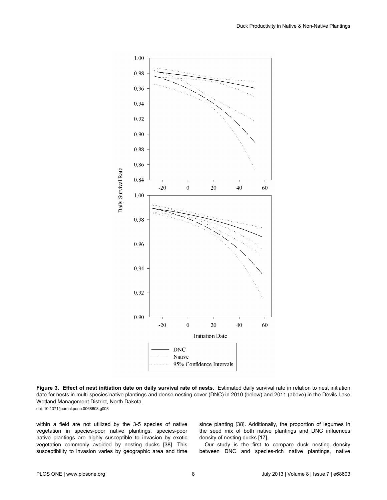

**Figure 3. Effect of nest initiation date on daily survival rate of nests.** Estimated daily survival rate in relation to nest initiation date for nests in multi-species native plantings and dense nesting cover (DNC) in 2010 (below) and 2011 (above) in the Devils Lake Wetland Management District, North Dakota.

doi: 10.1371/journal.pone.0068603.g003

within a field are not utilized by the 3-5 species of native vegetation in species-poor native plantings, species-poor native plantings are highly susceptible to invasion by exotic vegetation commonly avoided by nesting ducks [38]. This susceptibility to invasion varies by geographic area and time

since planting [38]. Additionally, the proportion of legumes in the seed mix of both native plantings and DNC influences density of nesting ducks [17].

Our study is the first to compare duck nesting density between DNC and species-rich native plantings, native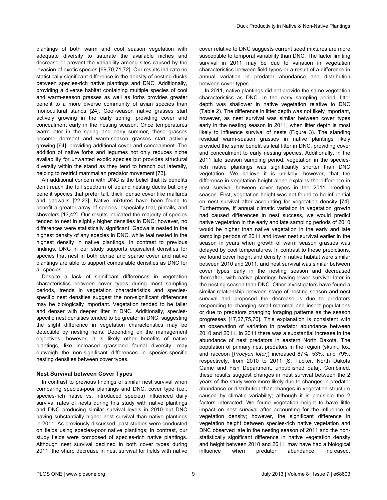plantings of both warm and cool season vegetation with adequate diversity to saturate the available niches and decrease or prevent the variability among sites caused by the invasion of exotic species [69,70,71,72]. Our results indicate no statistically significant difference in the density of nesting ducks between species-rich native plantings and DNC. Additionally, providing a diverse habitat containing multiple species of cool and warm-season grasses as well as forbs provides greater benefit to a more diverse community of avian species than monocultural stands [24]. Cool-season native grasses start actively growing in the early spring, providing cover and concealment early in the nesting season. Once temperatures warm later in the spring and early summer, these grasses become dormant and warm-season grasses start actively growing [64], providing additional cover and concealment. The addition of native forbs and legumes not only reduces niche availability for unwanted exotic species but provides structural diversity within the stand as they tend to branch out laterally, helping to restrict mammalian predator movement [73].

An additional concern with DNC is the belief that its benefits don't reach the full spectrum of upland nesting ducks but only benefit species that prefer tall, thick, dense cover like mallards and gadwalls [22,23]. Native mixtures have been found to benefit a greater array of species, especially teal, pintails, and shovelers [13,42]. Our results indicated the majority of species tended to nest in slightly higher densities in DNC; however, no differences were statistically significant. Gadwalls nested in the highest density of any species in DNC, while teal nested in the highest density in native plantings. In contrast to previous findings, DNC in our study supports equivalent densities for species that nest in both dense and sparse cover and native plantings are able to support comparable densities as DNC for all species.

Despite a lack of significant differences in vegetation characteristics between cover types during most sampling periods, trends in vegetation characteristics and speciesspecific nest densities suggest the non-significant differences may be biologically important. Vegetation tended to be taller and denser with deeper litter in DNC. Additionally, speciesspecific nest densities tended to be greater in DNC, suggesting the slight difference in vegetation characteristics may be detectible by nesting hens. Depending on the management objectives, however, it is likely other benefits of native plantings, like increased grassland faunal diversity, may outweigh the non-significant differences in species-specific nesting densities between cover types.

#### **Nest Survival between Cover Types**

In contrast to previous findings of similar nest survival when comparing species-poor plantings and DNC, cover type (i.e., species-rich native vs. introduced species) influenced daily survival rates of nests during this study with native plantings and DNC producing similar survival levels in 2010 but DNC having substantially higher nest survival than native plantings in 2011. As previously discussed, past studies were conducted on fields using species-poor native plantings; in contrast, our study fields were composed of species-rich native plantings. Although nest survival declined in both cover types during 2011, the sharp decrease in nest survival for fields with native

cover relative to DNC suggests current seed mixtures are more susceptible to temporal variability than DNC. The factor limiting survival in 2011 may be due to variation in vegetation characteristics between field types or a result of a difference in annual variation in predator abundance and distribution between cover types.

In 2011, native plantings did not provide the same vegetation characteristics as DNC. In the early sampling period, litter depth was shallower in native vegetation relative to DNC (Table 2). The difference in litter depth was not likely important, however, as nest survival was similar between cover types early in the nesting season in 2011, when litter depth is most likely to influence survival of nests (Figure 3). The standing residual warm-season grasses in native plantings likely provided the same benefit as leaf litter in DNC, providing cover and concealment to early nesting species. Additionally, in the 2011 late season sampling period, vegetation in the speciesrich native plantings was significantly shorter than DNC vegetation. We believe it is unlikely, however, that the difference in vegetation height alone explains the difference in nest survival between cover types in the 2011 breeding season. First, vegetation height was not found to be influential on nest survival after accounting for vegetation density [74]. Furthermore, if annual climatic variation in vegetation growth had caused differences in nest success, we would predict native vegetation in the early and late sampling periods of 2010 would be higher than native vegetation in the early and late sampling periods of 2011 and lower nest survival earlier in the season in years when growth of warm season grasses was delayed by cool temperatures. In contrast to these predictions, we found cover height and density in native habitat were similar between 2010 and 2011, and nest survival was similar between cover types early in the nesting season and decreased thereafter, with native plantings having lower survival later in the nesting season than DNC. Other investigators have found a similar relationship between stage of nesting season and nest survival and proposed the decrease is due to predators responding to changing small mammal and insect populations or due to predators changing foraging patterns as the season progresses [17,27,75,76]. This explanation is consistent with an observation of variation in predator abundance between 2010 and 2011. In 2011 there was a substantial increase in the abundance of nest predators in eastern North Dakota. The population of primary nest predators in the region (skunk, fox, and raccoon [*Procyon lotor*]) increased 67%, 53%, and 79%, respectively, from 2010 to 2011 [S. Tucker, North Dakota Game and Fish Department, unpublished data]. Combined, these results suggest changes in nest survival between the 2 years of the study were more likely due to changes in predator abundance or distribution than changes in vegetation structure caused by climatic variability; although it is plausible the 2 factors interacted. We found vegetation height to have little impact on nest survival after accounting for the influence of vegetation density; however, the significant difference in vegetation height between species-rich native vegetation and DNC observed late in the nesting season of 2011 and the nonstatistically significant difference in native vegetation density and height between 2010 and 2011, may have had a biological influence when predator abundance increased,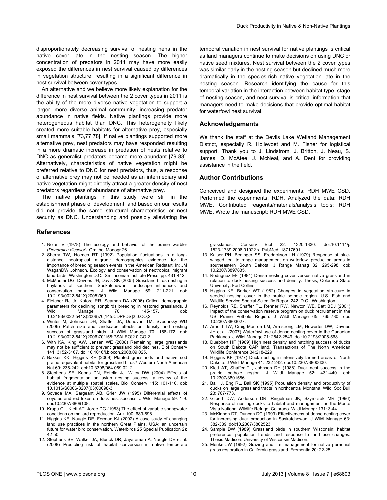disproportionately decreasing survival of nesting hens in the native cover late in the nesting season. The higher concentration of predators in 2011 may have more easily exposed the differences in nest survival caused by differences in vegetation structure, resulting in a significant difference in nest survival between cover types.

An alternative and we believe more likely explanation for the difference in nest survival between the 2 cover types in 2011 is the ability of the more diverse native vegetation to support a larger, more diverse animal community, increasing predator abundance in native fields. Native plantings provide more heterogeneous habitat than DNC. This heterogeneity likely created more suitable habitats for alternative prey, especially small mammals [73,77,78]. If native plantings supported more alternative prey, nest predators may have responded resulting in a more dramatic increase in predation of nests relative to DNC as generalist predators became more abundant [79-83]. Alternatively, characteristics of native vegetation might be preferred relative to DNC for nest predators, thus, a response of alternative prey may not be needed as an intermediary and native vegetation might directly attract a greater density of nest predators regardless of abundance of alternative prey.

The native plantings in this study were still in the establishment phase of development, and based on our results did not provide the same structural characteristics or nest security as DNC. Understanding and possibly alleviating the

#### **References**

- 1. Nolan V (1978) The ecology and behavior of the prairie warbler (*Dendroica discolor*). Ornithol Monogr 26.
- 2. Sherry TW, Holmes RT (1992) Population fluctuations in a longdistance neotropical migrant: demographics evidence for the importance of breeding season events in the American Redstart. In: JM WaganDW Johnson. Ecology and conservation of neotropical migrant land-birds. Washington D.C.: Smithsonian Institute Press. pp. 431-442.
- 3. McMaster DG, Devries JH, Davis SK (2005) Grassland birds nesting in haylands of southern Saskatchewan: landscape influences and conservation priorities. J Wildl Manage 69: 211-221. doi: [10.2193/0022-541X\(2005\)069](http://dx.doi.org/10.2193/0022-541X(2005)069).
- 4. Fletcher RJ Jr, Koford RR, Seaman DA (2006) Critical demographic parameters for declining songbirds breeding in restored grasslands. J<br>Wildl Manage 70: 145-157. doi: Wildl Manage 70: 145-157. doi: [10.2193/0022-541X\(2006\)70\[145:CDPFDS\]2.0.CO;2](http://tinyurl.com/lpu3o54).
- 5. Winter M, Johnson DH, Shaffer JA, Donovan TM, Svedarsky WD (2006) Patch size and landscape effects on density and nesting success of grassland birds. J Wildl Manage 70: 158-172. doi: [10.2193/0022-541X\(2006\)70\[158:PSALEO\]2.0.CO;2.](http://tinyurl.com/kcmm2v3)
- 6. With KA, King AW, Jensen WE (2008) Remaining large grasslands may not be sufficient to prevent grassland bird declines. Biol Conserv 141: 3152-3167. doi:[10.1016/j.biocon.2008.09.025](http://dx.doi.org/10.1016/j.biocon.2008.09.025).
- 7. Bakker KK, Higgins KF (2009) Planted grasslands and native sod prairie: equivalent habitat for grassland birds? Western North American Nat 69: 235-242. doi:[10.3398/064.069.0212](http://dx.doi.org/10.3398/064.069.0212).
- 8. Stephens SE, Koons DN, Rotella JJ, Wiley DW (2004) Effects of habitat fragmentation on avian nesting success: a review of the evidence at multiple spatial scales. Biol Conserv 115: 101-110. doi: [10.1016/S0006-3207\(03\)00098-3](http://dx.doi.org/10.1016/S0006-3207(03)00098-3).
- 9. Sovada MA, Sargeant AB, Grier JW (1995) Differential effects of coyotes and red foxes on duck nest success. J Wildl Manage 59: 1-9. doi:[10.2307/3809108](http://dx.doi.org/10.2307/3809108).
- 10. Krapu GL, Klett AT, Jorde DG (1983) The effect of variable springwater conditions on mallard reproduction. Auk 100: 689-698.
- 11. Higgins KF, Naugle DE, Forman KJ (2002) A case study of changing land use practices in the northern Great Plains, USA: an uncertain future for water bird conservation. Waterbirds 25 Special Publication 2): 42-50
- 12. Stephens SE, Walker JA, Blunck DR, Jayaraman A, Naugle DE et al. (2008) Predicting risk of habitat conversion in native temperate

temporal variation in nest survival for native plantings is critical as land managers continue to make decisions on using DNC or native seed mixtures. Nest survival between the 2 cover types was similar early in the nesting season but declined much more dramatically in the species-rich native vegetation late in the nesting season. Research identifying the cause for this temporal variation in the interaction between habitat type, stage of nesting season, and nest survival is critical information that managers need to make decisions that provide optimal habitat for waterfowl nest survival.

#### **Acknowledgements**

We thank the staff at the Devils Lake Wetland Management District, especially R. Hollevoet and M. Fisher for logistical support. Thank you to J. Lindstrom, J. Britton, J. Neau, S. James, D. McAtee, J. McNeal, and A. Dent for providing assistance in the field.

#### **Author Contributions**

Conceived and designed the experiments: RDH MWE CSD. Performed the experiments: RDH. Analyzed the data: RDH MWE. Contributed reagents/materials/analysis tools: RDH MWE. Wrote the manuscript: RDH MWE CSD.

grasslands. Conserv Biol 22: 1320-1330. doi:[10.1111/j.](http://dx.doi.org/10.1111/j.1523-1739.2008.01022.x) [1523-1739.2008.01022.x](http://dx.doi.org/10.1111/j.1523-1739.2008.01022.x). PubMed: [18717691](http://www.ncbi.nlm.nih.gov/pubmed/18717691).

- 13. Kaiser PH, Berlinger SS, Fredrickson LH (1979) Response of bluewinged teal to range management on waterfowl production areas in southeastern South Dakota. J Range Manag 32: 295-298. doi: [10.2307/3897835](http://dx.doi.org/10.2307/3897835).
- 14. Rodriguez EF (1984) Dense nesting cover versus native grassland in relation to duck nesting success and density. Thesis, Colorado State University, Fort Collins.
- 15. Higgins KF, Barker WT (1982) Changes in vegetation structure in seeded nesting cover in the prairie pothole region. U.S. Fish and Wildlife Service Special Scientific Report 242. D.C.: Washington.
- 16. Reynolds RE, Shaffer TL, Renner RW, Newton WE, Batt BDJ (2001) Impact of the conservation reserve program on duck recruitment in the US Prairie Pothole Region. J Wildl Manage 65: 765-780. doi: [10.2307/3803027](http://dx.doi.org/10.2307/3803027).
- 17. Arnold TW, Craig-Monroe LM, Armstrong LM, Howerter DW, Devries JH et al. (2007) Waterfowl use of dense nesting cover in the Canadian Parklands. J Wildl Manage 71: 2542-2549. doi:[10.2193/2005-568](http://dx.doi.org/10.2193/2005-568).
- 18. Duebbert HF (1969) High nest density and hatching success of ducks on South Dakota CAP land. Transactions of The North American Wildlife Conference 34:218-229
- 19. Higgins KF (1977) Duck nesting in intensively farmed areas of North Dakota. J Wildl Manage 41: 232-242. doi:[10.2307/3800600](http://dx.doi.org/10.2307/3800600).
- 20. Klett AT, Shaffer TL, Johnson DH (1988) Duck nest success in the prairie pothole region. J Wildl Manage 52: 431-440. doi: [10.2307/3801586](http://dx.doi.org/10.2307/3801586).
- 21. Ball IJ, Eng RL, Ball SK (1995) Population density and productivity of ducks on large grassland tracts in northcentral Montana. Wildl Soc Bull 23: 767-773.
- 22. Gilbert DW, Anderson DR, Ringelman JK, Szymczak MR (1996) Response of nesting ducks to habitat and management on the Monte Vista National Wildlife Refuge, Colorado. Wildl Monogr 131: 3-44.
- 23. McKinnon DT, Duncan DC (1999) Effectiveness of dense nesting cover for increasing duck production in Saskatchewan. J Wildl Manage 63: 382-389. doi[:10.2307/3802523.](http://dx.doi.org/10.2307/3802523)
- 24. Sample DW (1989) Grassland birds in southern Wisconsin: habitat preference, population trends, and response to land use changes. Thesis Madison: University of Wisconsin Madison.
- 25. Menke JW (1992) Grazing and fire management for native perennial grass restoration in California grassland. Fremontia 20: 22-25.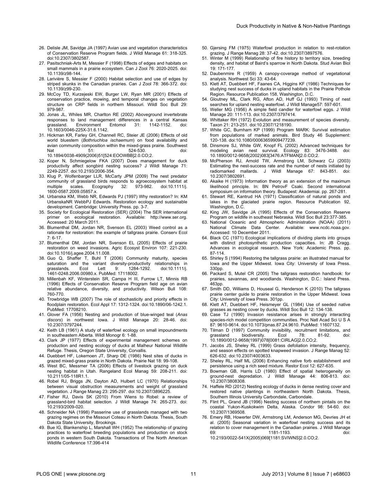- 26. Delisle JM, Savidge JA (1997) Avian use and vegetation characteristics of Conservation Reserve Program fields. J Wildl Manage 61: 318-325. doi:[10.2307/3802587](http://dx.doi.org/10.2307/3802587).
- 27. Pasitschniak-Arts M, Messier F (1998) Effects of edges and habitats on small mammals in a prairie ecosystem. Can J Zool 76: 2020-2025. doi: [10.1139/z98-144](http://dx.doi.org/10.1139/z98-144).
- 28. Larivière S, Messier F (2000) Habitat selection and use of edges by striped skunks in the Canadian prairies. Can J Zool 78: 366-372. doi: [10.1139/z99-230](http://dx.doi.org/10.1139/z99-230).
- 29. McCoy TD, Kurzejeski EW, Burger LW, Ryan MR (2001) Effects of conservation practice, mowing, and temporal changes on vegetation structure on CRP fields in northern Missouri. Wildl Soc Bull 29: 979-987.
- 30. Jonas JL, Whiles MR, Charlton RE (2002) Aboveground invertebrate responses to land management differences in a central Kansas grassland. Environment Entomol 31: 1142-1152. doi: 31: 1142-1152. [10.1603/0046-225X-31.6.1142.](http://dx.doi.org/10.1603/0046-225X-31.6.1142)
- 31. Hickman KR, Farley GH, Channell RC, Steier JE (2006) Effects of old world bluestem (*Bothriuchloa ischaemum*) on food availability and avian community composition within the mixed-grass prairie. Southwest Nat 51: 51: 524-530. doi: [10.1894/0038-4909\(2006\)51\[524:EOOWBB\]2.0.CO;2](http://tinyurl.com/kp2jwqk).
- 32. Koper N, Schmiegelow FKA (2007) Does management for duck productivity affect songbird nesting success? J Wildl Manage 71: 2249-2257. doi[:10.2193/2006-354](http://dx.doi.org/10.2193/2006-354).
- 33. Klug P, Wolfenbarger LLR, McCarty JPM (2009) The nest predator community of grassland birds responds to agroecosystem habitat at multiple scales. Ecography 32: 973-982. doi:10.1111/j. Ecography [1600-0587.2009.05857.x](http://dx.doi.org/10.1111/j.1600-0587.2009.05857.x).
- 34. Urbanska KM, Webb NR, Edwards PJ (1997) Why restoration? In: KM UrbanskaNR WebbPJ Edwards. Restoration ecology and sustainable development. Cambridge: University Press. pp. 3-7.
- 35. Society for Ecological Restoration (SER) (2004) The SER international primer on ecological restoration. Available: [http://www.ser.org.](http://www.ser.org) Accessed: 20 March 2011.
- 36. Blumenthal DM, Jordan NR, Svenson EL (2003) Weed control as a rationale for restoration: the example of tallgrass prairie. Conserv Ecol 7: 6-17.
- 37. Blumenthal DM, Jordan NR, Svenson EL (2005) Effects of prairie restoration on weed invasions. Agric Ecosyst Environ 107: 221-230. doi:[10.1016/j.agee.2004.11.008](http://dx.doi.org/10.1016/j.agee.2004.11.008).
- 38. Guo Q, Shaffer T, Buhl T (2006) Community maturity, species saturation and the variant diversity-productivity relationships in grasslands. Ecol Lett 9: 1284-1292. doi:[10.1111/j.](http://dx.doi.org/10.1111/j.1461-0248.2006.00980.x) [1461-0248.2006.00980.x](http://dx.doi.org/10.1111/j.1461-0248.2006.00980.x). PubMed: [17118002](http://www.ncbi.nlm.nih.gov/pubmed/17118002).
- 39. Millenbah KF, Winterstein SR, Campa H III, Furrow LT, Minnis RB (1996) Effects of Conservation Reserve Program field age on avian relative abundance, diversity, and productivity. Wilson Bull 108: 760-770.
- 40. Trowbridge WB (2007) The role of stochasticity and priority effects in floodplain restoration. Ecol Appl 17: 1312-1324. doi:[10.1890/06-1242.1.](http://dx.doi.org/10.1890/06-1242.1) PubMed: [17708210.](http://www.ncbi.nlm.nih.gov/pubmed/17708210)
- 41. Glover FA (1956) Nesting and production of blue-winged teal (*Anas discors*) in northwest Iowa. J Wildl Manage 20: 28-46. doi: [10.2307/3797244](http://dx.doi.org/10.2307/3797244).
- 42. Keith LB (1961) A study of waterfowl ecology on small impoundments in southeastern Alberta. Wildl Monogr 6: 1-88.
- 43. Clark JP (1977) Effects of experimental management schemes on production and nesting ecology of ducks at Malheur National Wildlife Refuge. Thesis, Oregon State University, Corvallis.
- 44. Duebbert HF, Lokemoen JT, Sharp DE (1986) Nest sites of ducks in grazed mixed-grass prairie in North Dakota. Prairie Nat 18: 99-108.
- 45. West BC, Messmer TA (2006) Effects of livestock grazing on duck nesting habitat in Utah. Rangeland Ecol Manag 59: 208-211. doi: [10.2111/05-118R1.1](http://dx.doi.org/10.2111/05-118R1.1).
- 46. Robel RJ, Briggs JN, Dayton AD, Hulbert LC (1970) Relationships between visual obstruction measurements and weight of grassland vegetation. J Range Manag 23: 295-297. doi:[10.2307/3896225](http://dx.doi.org/10.2307/3896225).
- 47. Fisher RJ, Davis SK (2010) From Wiens to Robel: a review of grassland-bird habitat selection. J Wildl Manage 74: 265-273. doi: [10.2193/2009-020](http://dx.doi.org/10.2193/2009-020).
- 48. Schneider NA (1998) Passerine use of grasslands managed with two grazing regimes on the Missouri Coteau in North Dakota. Thesis, South Dakota State University, Brookings.
- 49. Bue IG, Blankenship L, Marshall WH (1952) The relationship of grazing practices to waterfowl breeding populations and production on stock ponds in western South Dakota. Transactions of The North American Wildlife Conference 17:396-414
- 50. Gjersing FM (1975) Waterfowl production in relation to rest-rotation grazing. J Range Manag 28: 37-42. doi[:10.2307/3897576.](http://dx.doi.org/10.2307/3897576)
- 51. Winter M (1999) Relationship of fire history to territory size, breeding density, and habitat of Baird's sparrow in North Dakota. Stud Avian Biol 19: 171-177.
- 52. Daubenmire R (1959) A canopy-coverage method of vegetational analysis. Northwest Sci 33: 43-64.
- 53. Klett AT, Duebbert HF, Faanes CA, Higgins KF (1986) Techniques for studying nest success of ducks in upland habitats in the Prairie Pothole Region. Resource Publication 158, Washington, D.C.
- 54. Gloutney ML, Clark RG, Afton AD, Huff GJ (1993) Timing of nest searches for upland nesting waterfowl. J Wildl Manage57: 597-601.
- 55. Weller MG (1956) A simple field candler for waterfowl eggs. J Wildl Manage 20: 111-113. doi[:10.2307/3797414.](http://dx.doi.org/10.2307/3797414)
- 56. Whittaker RH (1972) Evolution and measurement of species diversity. Taxon 21: 213-251. doi[:10.2307/1218190.](http://dx.doi.org/10.2307/1218190)
- 57. White GC, Burnham KP (1999) Program MARK: Survival estimation from populations of marked animals. Bird Study 46 Supplement: 120-138. doi[:10.1080/00063659909477239.](http://dx.doi.org/10.1080/00063659909477239)
- 58. Dinsmore SJ, White GW, Knopf FL (2002) Advanced techniques for modeling avian nest survival. Ecology 83: 3476-3488. doi: [10.1890/0012-9658\(2002\)083\[3476:ATFMAN\]2.0.CO;2](http://tinyurl.com/ktr3hgw).
- 59. McPherson RJ, Arnold TW, Armstrong LM, Schwarz CJ (2003) Estimating the nest-success rate and the number of nests initiated by radiomarked mallards. J Wildl Manage 67: 843-851. doi: [10.2307/3802691](http://dx.doi.org/10.2307/3802691).
- 60. Akaike H (1973) Information theory as an extension of the maximum likelihood principle. In: BN PetrovF Csaki. Second international symposium on information theory. Budapest: Akademiai. pp. 267-281.
- 61. Stewart RE, Kantrud HA (1971) Classification of natural ponds and lakes in the glaciated prairie region. Resource Publication 92, Washington, D.C.
- 62. King JW, Savidge JA (1995) Effects of the Conservation Reserve Program on wildlife in southeast Nebraska. Wildl Soc Bull 23:377-385.
- 63. National Oceanic and Atmospheric Administration (NOAA) (2011) National Climate Data Center. Available: [www.ncdc.noaa.gov](http://www.ncdc.noaa.gov). Accessed: 10 December 2011.
- 64. Black CC (1971) Ecological implications of dividing plants into groups with distinct photosynthetic production capacities. In: JB Cragg. Advances in ecological research. New York: Academic Press. pp. 87-114.
- 65. Shirley S (1994) Restoring the tallgrass prairie: an illustrated manual for Iowa and the Upper Midwest. Iowa City: University of Iowa Press. 330pp.
- 66. Packard S, Mutel CR (2005) The tallgrass restoration handbook: for prairies, savannas, and woodlands. Washington, D.C.: Island Press. 463pp.
- 67. Smith DD, Williams D, Houseal G, Henderson K (2010) The tallgrass prairie center guide to prairie restoration in the Upper Midwest. Iowa City: University of Iowa Press. 301pp.
- 68. Klett AT, Duebbert HF, Heismeyer GL (1984) Use of seeded native grasses as nesting cover by ducks. Wildl Soc Bull 12: 134-138.
- 69. Case TJ (1990) Invasion resistance arises in strongly interacting species-rich model competition communities. Proc Natl Acad Sci U S A 87: 9610-9614. doi:[10.1073/pnas.87.24.9610](http://dx.doi.org/10.1073/pnas.87.24.9610). PubMed: [11607132](http://www.ncbi.nlm.nih.gov/pubmed/11607132).
- 70. Tilman D (1997) Community invisibility, recruitment limitations, and grassland biodiversity. Ecol 78: 81-92. doi: grassland biodiversity. Ecol 78: 81-92. doi: [10.1890/0012-9658\(1997\)078\[0081:CIRLAG\]2.0.CO;2.](http://tinyurl.com/km8p9ee)
- 71. Jacobs JS, Sheley RL (1999) Grass defoliation intensity, frequency, and season effects on spotted knapweed invasion. J Range Manag 52: 626-632. doi[:10.2307/4003633.](http://dx.doi.org/10.2307/4003633)
- 72. Sheley RL, Half ML (2006) Enhancing native forb establishment and persistence using a rich seed mixture. Restor Ecol 12: 627-635.
- 73. Bowman GB, Harris LD (1980) Effect of spatial heterogeneity on ground-nest depredation. J Wildl Manage 44: 806-813. doi: [10.2307/3808308](http://dx.doi.org/10.2307/3808308).
- 74. Haffele RD (2012) Nesting ecology of ducks in dense nesting cover and restored native plantings in northeastern North Dakota. Thesis, Southern Illinois University Carbondale, Carbondale.
- 75. Flint PL, Grand JB (1996) Nesting success of northern pintails on the coastal Yukon-Kuskokwim Delta, Alaska. Condor 98: 54-60. doi: [10.2307/1369508](http://dx.doi.org/10.2307/1369508).
- 76. Emery RB, Howerter DW, Armstrong LM, Anderson MG, Devries JH et al. (2005) Seasonal variation in waterfowl nesting success and its relation to cover management in the Canadian prairies. J Wildl Manage<br>69: 1181-1193. doi: 1181-1193. [10.2193/0022-541X\(2005\)069\[1181:SVIWNS\]2.0.CO;2.](http://tinyurl.com/m6vwaud)